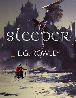## sleeper! E.G. ROWLEY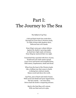## Part I: The Journey to The Sea

The Ballad of Cap'Tian

Cold and black brisk East winds blew, Through Far'Verm Pass to Western lands, To walls of Draer dark shadows drew, Delivered into evil's hands.

Draer King's army gave valiant defense, Against the shadow's growing might, As dusk Sun's light made red intense, Draer King lay martyred that very night.

Unmatched they marched with force of arms, Southward evil's dark armies spread, Cross rivers and forests and trampled farms, With misery, hopelessness, death and dread.

When from the heart of the Western lands, Like a brilliant star that comes to Earth, A shining hero stalwart stands, Raises sword and shows his worth.

Cap'Tian, pure of heart and mind of stone, With sword and shield and spear-tipped lance, The hero stands — one man alone, Drives back the horde's conquering advance.

> Back to the East fleas evil's retreat, With one final card yet to play,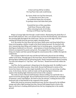A feast and trap did lay in defeat, For Cap'Tian's fate ends would betray.

By victory drink was Cap'Tian betrayed, To sleep but not to die or rise, On windward slopes the evil stayed, To perhaps return and claim their prize.

Foretold the hero of this song bides, Until Draer Princess softly weeps, When returning horde of evil rides, Yet deep in El'Thune Cap'Tian sleeps.

Stripes of orange light shot through a small window, illuminating the plank floor of Rowan'Gaff's bedroom. Fine, ever-present dust rose from the floorboards, and refracted the morning light throughout the small room. The boy sat on the edge of his bed catching his breath from the previous night's shocking dream.

In it, the stocky five-foot-three lad wore heavy black armor and drug behind him a long-sword gouging a shallow trough in the blood-stained ground. He marched with slow, hammering steps lifting each weighty boot in lurching agony. Around him, taller dark figures lumbered ever forward — great plumes of steam bursting from their helmets accompanied by grunts and growls. Fear gripped the boy and the feeling of being out of place and time spread through his consciousness like a wildfire through dry underbrush.

The company halted in lock-step and Rowan'Gaff nearly plowed into the hulking soldier to his front. Through gaps in the front lines, Rowan'Gaff shielded his eyes from a glowing figure holding back the advancing horde. Snarls emanated from figures looming over him and whispers of, "Cap'Tian," and "The hero," floated forward from within the cohort.

*Cap'Tian*, the boy questioned, whispering in his dreaming mind. He shuffled to get a better look at his fabled ancestor. Since birth, Rowan'Gaff listened to stories of his heroic fore-bearer, the man that single-handedly drove off an over-powering, invading army. In his dream, the boy could not make out the glowing figure's features, only squint at the dazzling light which hovered in front of the company.

The ranks in front of Rowan'Gaff shouted a blood-curdling roar and broke into a sprint toward the glowing light. Rowan'Gaff lurched forward, pushed by the onslaught of immense, armor-clad fighters. He tried to slow his advance, working his heavy feet backward only to find himself at the vanguard of the assault.

Before him stood an enormous luminescent man, his face obscured by the brilliant orange and yellow light bursting from him. Rowan'Gaff stepped back to look at the figure as the hero's crushing shield plowed into the boy dropping him to the muddy ground.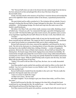"No!" Rowan'Gaff cried, not only in his dream but also unknowingly from his bed as the hero advanced on him and plunged the silvery tip of his lance deep into Rowan'Gaff's chest.

Awake, his body shook at the memory of Cap'Tian's voracious thrust and touched the spot on his nightshirt where moments earlier in his dream, a spearhead punctured his heart.

The spot itched and he softly scratched at it. The irritation did not subside. From it, emerged a feeling that Rowan'Gaff no longer belonged in this place. His room looked unfamiliar — his belongings foreign. He stood and crept into the main room of his family's small farmhouse.

His father, Fere'Man Vodr, sat at their small, common room table, finishing a bowl of boiled oats. "I heard you yell," he commented through a spoonful of dripping meal. "Are you well?" Not that his father gave him much concern, the question came as more of an inquisition regarding Rowan'Gaff's fitness for the day's work, than fatherly care.

"I'm fine."

Fere'Man nodded and jabbed another ladle of oats into his bearded mouth. "Then dress yourself and eat with haste. The wagon for Son'Us needs attention." He motioned to a squat brown bucket on a preparation table next to their cooking hearth.

Rowan'Gaff returned to his room, removed his nightshirt, and dressed for the day's work. The itch in his chest grew to a burning desire to leave this place immediately. The drawing force also instilled within him a feeling of destiny — a sense of longing for greatness. Between the visions of black-clad creatures, Rowan'Gaff saw himself as the shining hero. He heard songs of his deeds ringing from some distant inevitability. He mustered his strength and pushed the secret desire to leave deep within himself before warming his own bowl of oats. The young man quickly finished his breakfast and joined his father at their wagon. While he hefted burlap sacks of grain onto the dray, his mind filled with the glowing form of Cap'Tian.

"Father? You used to tell me tales of Cap'Tian, the hero. Are we really descended from him?"

Fare'Man pushed a grain satchel into position and rested an elbow on the stack. He nodded, "Aye, he is your fore-bearer on your Mother's side." He waved for the boy to toss him another load.

Rowan'Gaff hoisted a bushel from his shoulder to the cart's rail. "Was he really the great hero the legends make him out to be?"

"I have no reason to doubt the songs."

"I'd like to be a hero," the boy said.

His father laughed. "If you manage to get your chores done today, you'll be a hero, bar none."

Rowan'Gaff frowned at the jibe, the longing in his chest felt as though his heart would beat its way through his ribs. He needed to go — now. *Where do I need to go*, he asked himself and heaved the final bag to the cart.

Fere'Man maneuvered the grain into position, securing the load with several runs of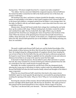fraying twine. "I'll return tonight from Son'Us. I expect your tasks completed."

"Yes, father," the boy answered. Behind his composed response, Rowan'Gaff knew the instant his father crested the low hill to the South and lost view of the farm, his journey would begin.

The beating in his chest and desire to depart clouded his thoughts, removing any notion of responsibility to his father or their small Longshore farm. Rowan'Gaff moved to the house and withdrew a strapped-satchel from his father's worn storage chest. On the table, he filled it with dry and salted supplies, a semi-clean shirt from his room, and a small skin of water.

Minutes later, Rowan'Gaff stood outside their cottage door watching the cart lazily draw up the southern hill's slope. Without looking back, his father crested the incline and vanished from sight. The boy looked left, then right. *Which way*, he silently questioned? He closed his eyes, bringing the vision of Cap'Tian to the forefront of his mind. When the memory of the gleaming hero focused, Rowan'Gaff winced from a sudden, sharp chest pain. For an instant, in his mind's eye, a bright lance erupted from below his chin. Rowan'Gaff opened his eyes to the brilliance of the blazing morning sun. *East*, he concluded.

d c

The pack's weight made Rowan'Gaff's back sore and his limited knowledge of the lands outside of those between the River Mor'Ah and the Great sea slowed his progress East. He trudged along the rolling grasslands of Longshore directly East, keeping the sun in front of him for the first half of the day and at his back as afternoon progressed. He hoped to reach Narrow Bridge by nightfall, but the unfamiliar terrain and unknown distances forced him to set camp in the open by sunset the first night.

In his haste to begin his journey, Rowan failed to pack a flint and steel or a proper bed roll. His camp consisted of a mound of dried grass which he plucked from the side of a wind-blown rise and a small morsel of scraped salt-pork.

Mercifully, the weather remained dry and the heat of the day dissipated slowly, allowing the young man to fall asleep in relative comfort under his makeshift blanket. Rowan'Gaff drifted off when his tired muscles finally relaxed and thoughts of his father's anger evaporated.

When his eyes closed Rowan'Gaff's mind drew him back to the corpse-strewn battlefield. Again he stood opposite the glowing hero surrounded by grunting heathens awaiting the opening of the melee. *Why am I here? Why am I not standing beside my kin?*

Knowing the outcome of this scenario, Rowan'Gaff pushed forward to join his heroic ancestor and fight off the black horde, like the hero he should be. The ranks in front of him opened and he found himself face to face with the vibrant visage of Cap'Tian.

"Cap'Tian, I am Rowan'Gaff, your decsend…" The hero's shield slammed the boy to